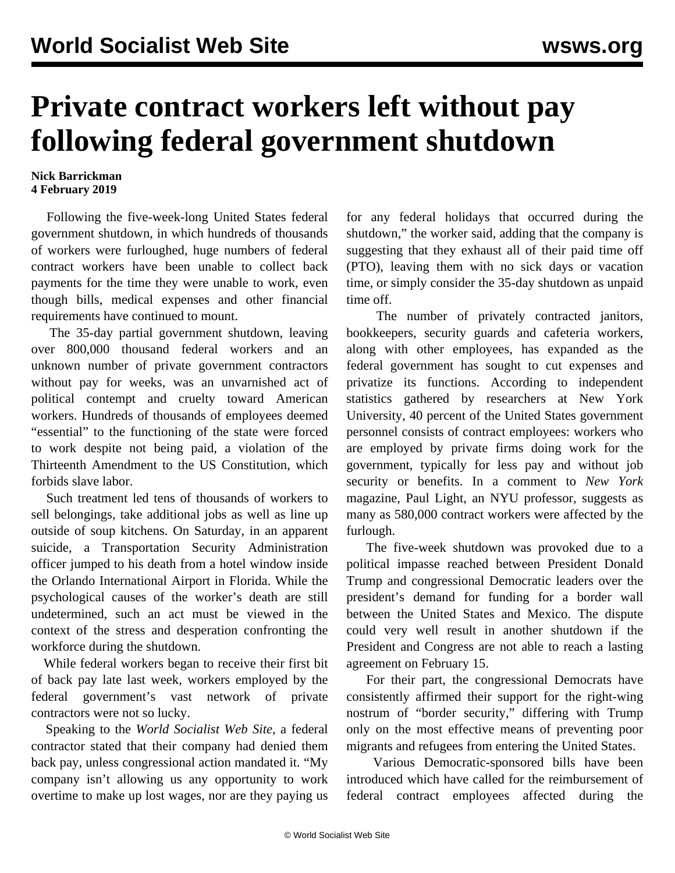## **Private contract workers left without pay following federal government shutdown**

## **Nick Barrickman 4 February 2019**

 Following the five-week-long United States federal government shutdown, in which hundreds of thousands of workers were furloughed, huge numbers of federal contract workers have been unable to collect back payments for the time they were unable to work, even though bills, medical expenses and other financial requirements have continued to mount.

 The 35-day partial government shutdown, leaving over 800,000 thousand federal workers and an unknown number of private government contractors without pay for weeks, was an unvarnished act of political contempt and cruelty toward American workers. Hundreds of thousands of employees deemed "essential" to the functioning of the state were forced to work despite not being paid, a violation of the Thirteenth Amendment to the US Constitution, which forbids slave labor.

 Such treatment led tens of thousands of workers to sell belongings, take additional jobs as well as line up outside of soup kitchens. On Saturday, in an apparent suicide, a Transportation Security Administration officer jumped to his death from a hotel window inside the Orlando International Airport in Florida. While the psychological causes of the worker's death are still undetermined, such an act must be viewed in the context of the stress and desperation confronting the workforce during the shutdown.

 While federal workers began to receive their first bit of back pay late last week, workers employed by the federal government's vast network of private contractors were not so lucky.

 Speaking to the *World Socialist Web Site*, a federal contractor stated that their company had denied them back pay, unless congressional action mandated it. "My company isn't allowing us any opportunity to work overtime to make up lost wages, nor are they paying us

for any federal holidays that occurred during the shutdown," the worker said, adding that the company is suggesting that they exhaust all of their paid time off (PTO), leaving them with no sick days or vacation time, or simply consider the 35-day shutdown as unpaid time off.

 The number of privately contracted janitors, bookkeepers, security guards and cafeteria workers, along with other employees, has expanded as the federal government has sought to cut expenses and privatize its functions. According to independent statistics gathered by researchers at New York University, 40 percent of the United States government personnel consists of contract employees: workers who are employed by private firms doing work for the government, typically for less pay and without job security or benefits. In a comment to *New York* magazine, Paul Light, an NYU professor, suggests as many as 580,000 contract workers were affected by the furlough.

 The five-week shutdown was provoked due to a political impasse reached between President Donald Trump and congressional Democratic leaders over the president's demand for funding for a border wall between the United States and Mexico. The dispute could very well result in another shutdown if the President and Congress are not able to reach a lasting agreement on February 15.

 For their part, the congressional Democrats have consistently affirmed their support for the right-wing nostrum of "border security," differing with Trump only on the most effective means of preventing poor migrants and refugees from entering the United States.

 Various Democratic-sponsored bills have been introduced which have called for the reimbursement of federal contract employees affected during the